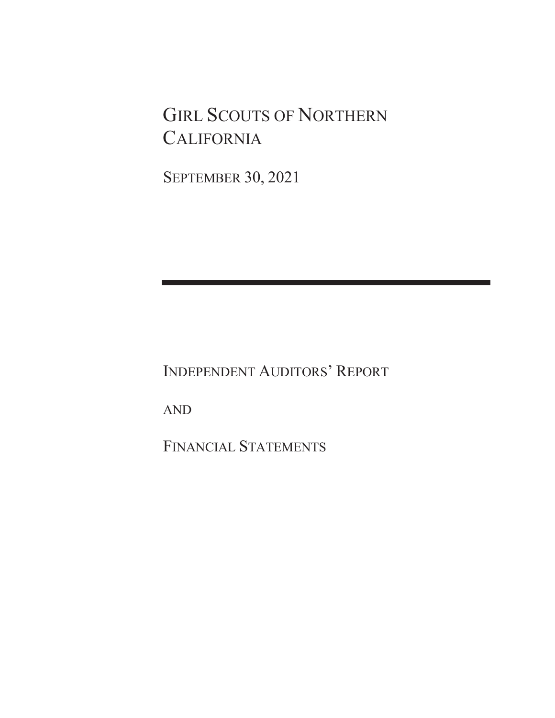# GIRL SCOUTS OF NORTHERN **CALIFORNIA**

SEPTEMBER 30, 2021

INDEPENDENT AUDITORS' REPORT

AND

FINANCIAL STATEMENTS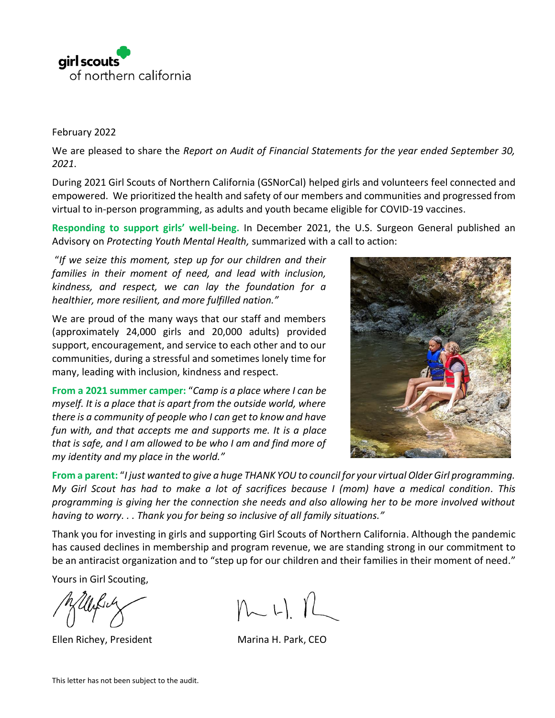

# February 2022

We are pleased to share the *Report on Audit of Financial Statements for the year ended September 30, 2021*.

During 2021 Girl Scouts of Northern California (GSNorCal) helped girls and volunteers feel connected and empowered. We prioritized the health and safety of our members and communities and progressed from virtual to in-person programming, as adults and youth became eligible for COVID-19 vaccines.

**Responding to support girls' well-being.** In December 2021, the U.S. Surgeon General published an Advisory on *Protecting Youth Mental Health,* summarized with a call to action:

"*If we seize this moment, step up for our children and their families in their moment of need, and lead with inclusion, kindness, and respect, we can lay the foundation for a healthier, more resilient, and more fulfilled nation."* 

We are proud of the many ways that our staff and members (approximately 24,000 girls and 20,000 adults) provided support, encouragement, and service to each other and to our communities, during a stressful and sometimes lonely time for many, leading with inclusion, kindness and respect.

**From a 2021 summer camper:** "*Camp is a place where I can be myself. It is a place that is apart from the outside world, where there is a community of people who I can get to know and have fun with, and that accepts me and supports me. It is a place that is safe, and I am allowed to be who I am and find more of my identity and my place in the world."*



**From a parent:** "*I just wanted to give a huge THANK YOU to council for your virtual Older Girl programming. My Girl Scout has had to make a lot of sacrifices because I (mom) have a medical condition. This programming is giving her the connection she needs and also allowing her to be more involved without having to worry. . . Thank you for being so inclusive of all family situations."*

Thank you for investing in girls and supporting Girl Scouts of Northern California. Although the pandemic has caused declines in membership and program revenue, we are standing strong in our commitment to be an antiracist organization and to "step up for our children and their families in their moment of need."

Yours in Girl Scouting,

Ellen Richey, President Marina H. Park, CEO

 $n=11$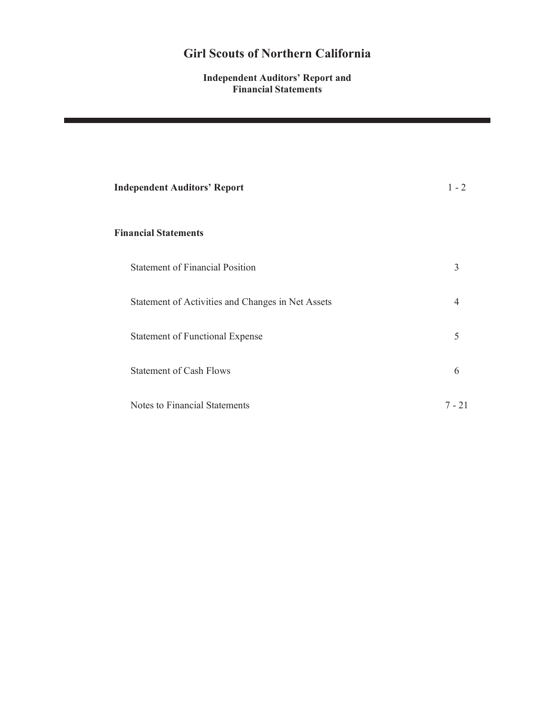# **Independent Auditors' Report and Financial Statements**

| <b>Independent Auditors' Report</b>               | $1 - 2$        |
|---------------------------------------------------|----------------|
| <b>Financial Statements</b>                       |                |
| <b>Statement of Financial Position</b>            | 3              |
| Statement of Activities and Changes in Net Assets | $\overline{4}$ |
| <b>Statement of Functional Expense</b>            | 5              |
| <b>Statement of Cash Flows</b>                    | 6              |
| Notes to Financial Statements                     | 7 - 21         |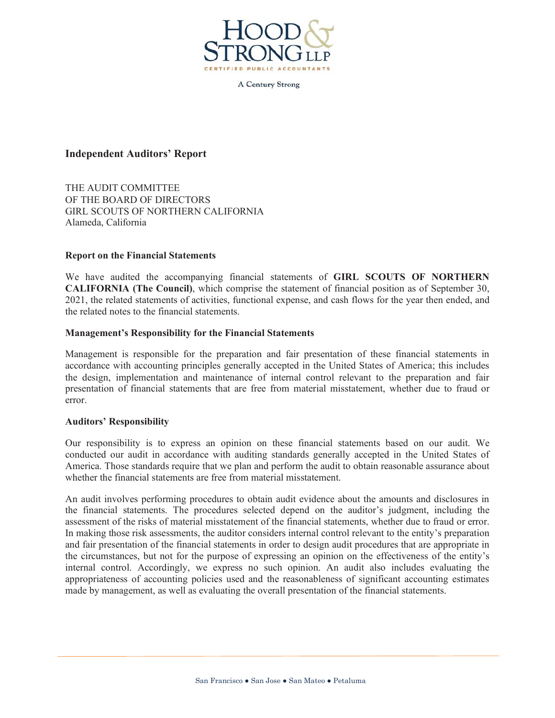

**A Century Strong** 

# **Independent Auditors' Report**

THE AUDIT COMMITTEE OF THE BOARD OF DIRECTORS GIRL SCOUTS OF NORTHERN CALIFORNIA Alameda, California

# **Report on the Financial Statements**

We have audited the accompanying financial statements of **GIRL SCOUTS OF NORTHERN CALIFORNIA (The Council)**, which comprise the statement of financial position as of September 30, 2021, the related statements of activities, functional expense, and cash flows for the year then ended, and the related notes to the financial statements.

# **Management's Responsibility for the Financial Statements**

Management is responsible for the preparation and fair presentation of these financial statements in accordance with accounting principles generally accepted in the United States of America; this includes the design, implementation and maintenance of internal control relevant to the preparation and fair presentation of financial statements that are free from material misstatement, whether due to fraud or error.

### **Auditors' Responsibility**

Our responsibility is to express an opinion on these financial statements based on our audit. We conducted our audit in accordance with auditing standards generally accepted in the United States of America. Those standards require that we plan and perform the audit to obtain reasonable assurance about whether the financial statements are free from material misstatement.

An audit involves performing procedures to obtain audit evidence about the amounts and disclosures in the financial statements. The procedures selected depend on the auditor's judgment, including the assessment of the risks of material misstatement of the financial statements, whether due to fraud or error. In making those risk assessments, the auditor considers internal control relevant to the entity's preparation and fair presentation of the financial statements in order to design audit procedures that are appropriate in the circumstances, but not for the purpose of expressing an opinion on the effectiveness of the entity's internal control. Accordingly, we express no such opinion. An audit also includes evaluating the appropriateness of accounting policies used and the reasonableness of significant accounting estimates made by management, as well as evaluating the overall presentation of the financial statements.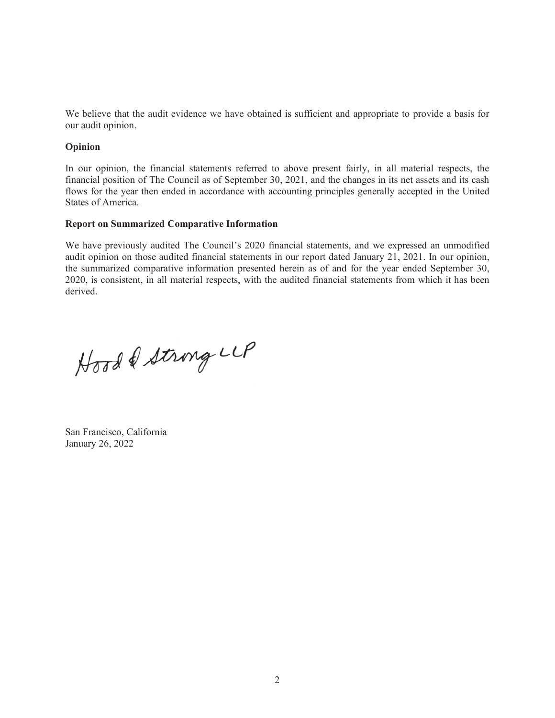We believe that the audit evidence we have obtained is sufficient and appropriate to provide a basis for our audit opinion.

# **Opinion**

In our opinion, the financial statements referred to above present fairly, in all material respects, the financial position of The Council as of September 30, 2021, and the changes in its net assets and its cash flows for the year then ended in accordance with accounting principles generally accepted in the United States of America.

# **Report on Summarized Comparative Information**

We have previously audited The Council's 2020 financial statements, and we expressed an unmodified audit opinion on those audited financial statements in our report dated January 21, 2021. In our opinion, the summarized comparative information presented herein as of and for the year ended September 30, 2020, is consistent, in all material respects, with the audited financial statements from which it has been derived.

Hood & Strong LLP

San Francisco, California January 26, 2022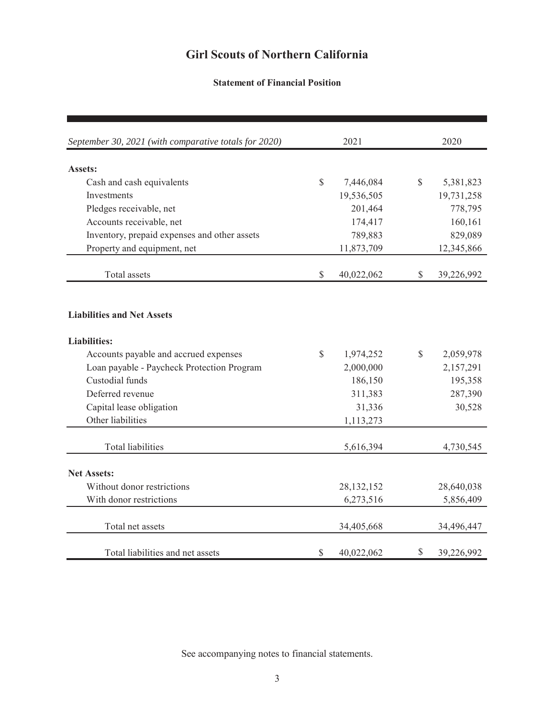# **Statement of Financial Position**

| September 30, 2021 (with comparative totals for 2020) |               | 2021       |              | 2020       |
|-------------------------------------------------------|---------------|------------|--------------|------------|
|                                                       |               |            |              |            |
| Assets:                                               |               |            |              |            |
| Cash and cash equivalents                             | $\mathbb{S}$  | 7,446,084  | $\mathbb{S}$ | 5,381,823  |
| Investments                                           |               | 19,536,505 |              | 19,731,258 |
| Pledges receivable, net                               |               | 201,464    |              | 778,795    |
| Accounts receivable, net                              |               | 174,417    |              | 160,161    |
| Inventory, prepaid expenses and other assets          |               | 789,883    |              | 829,089    |
| Property and equipment, net                           |               | 11,873,709 |              | 12,345,866 |
| Total assets                                          | $\mathbb{S}$  | 40,022,062 | \$           | 39,226,992 |
| <b>Liabilities and Net Assets</b>                     |               |            |              |            |
| <b>Liabilities:</b>                                   |               |            |              |            |
| Accounts payable and accrued expenses                 | $\mathcal{S}$ | 1,974,252  | $\mathbb{S}$ | 2,059,978  |
| Loan payable - Paycheck Protection Program            |               | 2,000,000  |              | 2,157,291  |
| Custodial funds                                       |               | 186,150    |              | 195,358    |
| Deferred revenue                                      |               | 311,383    |              | 287,390    |
| Capital lease obligation                              |               | 31,336     |              | 30,528     |
| Other liabilities                                     |               | 1,113,273  |              |            |
| <b>Total liabilities</b>                              |               | 5,616,394  |              | 4,730,545  |
| <b>Net Assets:</b>                                    |               |            |              |            |
| Without donor restrictions                            |               | 28,132,152 |              | 28,640,038 |
| With donor restrictions                               |               | 6,273,516  |              | 5,856,409  |
| Total net assets                                      |               | 34,405,668 |              | 34,496,447 |
| Total liabilities and net assets                      | \$            | 40,022,062 | \$           | 39,226,992 |

See accompanying notes to financial statements.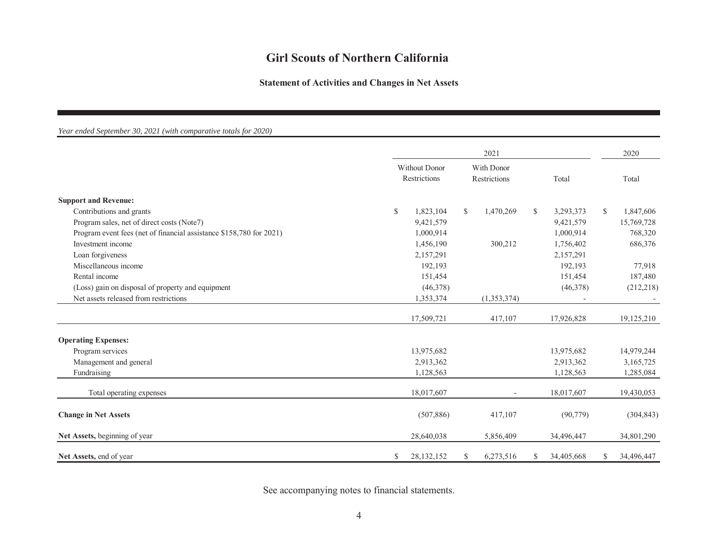# **Statement of Activities and Changes in Net Assets**

| Year ended September 30, 2021 (with comparative totals for 2020)    |      |                                      |              |                            |    |            |                  |  |
|---------------------------------------------------------------------|------|--------------------------------------|--------------|----------------------------|----|------------|------------------|--|
|                                                                     | 2021 |                                      |              |                            |    |            | 2020             |  |
|                                                                     |      | <b>Without Donor</b><br>Restrictions |              | With Donor<br>Restrictions |    | Total      | Total            |  |
| <b>Support and Revenue:</b>                                         |      |                                      |              |                            |    |            |                  |  |
| Contributions and grants                                            | \$   | 1,823,104                            | $\mathbb{S}$ | 1,470,269                  | \$ | 3,293,373  | \$<br>1,847,606  |  |
| Program sales, net of direct costs (Note7)                          |      | 9,421,579                            |              |                            |    | 9,421,579  | 15,769,728       |  |
| Program event fees (net of financial assistance \$158,780 for 2021) |      | 1,000,914                            |              |                            |    | 1,000,914  | 768,320          |  |
| Investment income                                                   |      | 1,456,190                            |              | 300,212                    |    | 1,756,402  | 686,376          |  |
| Loan forgiveness                                                    |      | 2,157,291                            |              |                            |    | 2,157,291  |                  |  |
| Miscellaneous income                                                |      | 192,193                              |              |                            |    | 192,193    | 77,918           |  |
| Rental income                                                       |      | 151,454                              |              |                            |    | 151,454    | 187,480          |  |
| (Loss) gain on disposal of property and equipment                   |      | (46,378)                             |              |                            |    | (46,378)   | (212, 218)       |  |
| Net assets released from restrictions                               |      | 1,353,374                            |              | (1,353,374)                |    |            |                  |  |
|                                                                     |      | 17,509,721                           |              | 417,107                    |    | 17,926,828 | 19,125,210       |  |
| <b>Operating Expenses:</b>                                          |      |                                      |              |                            |    |            |                  |  |
| Program services                                                    |      | 13,975,682                           |              |                            |    | 13,975,682 | 14,979,244       |  |
| Management and general                                              |      | 2,913,362                            |              |                            |    | 2,913,362  | 3,165,725        |  |
| Fundraising                                                         |      | 1,128,563                            |              |                            |    | 1,128,563  | 1,285,084        |  |
| Total operating expenses                                            |      | 18,017,607                           |              |                            |    | 18,017,607 | 19,430,053       |  |
| <b>Change in Net Assets</b>                                         |      | (507, 886)                           |              | 417,107                    |    | (90, 779)  | (304, 843)       |  |
| Net Assets, beginning of year                                       |      | 28,640,038                           |              | 5,856,409                  |    | 34,496,447 | 34,801,290       |  |
| Net Assets, end of year                                             | S    | 28, 132, 152                         | \$           | 6,273,516                  | S  | 34,405,668 | \$<br>34,496,447 |  |

See accompanying notes to financial statements.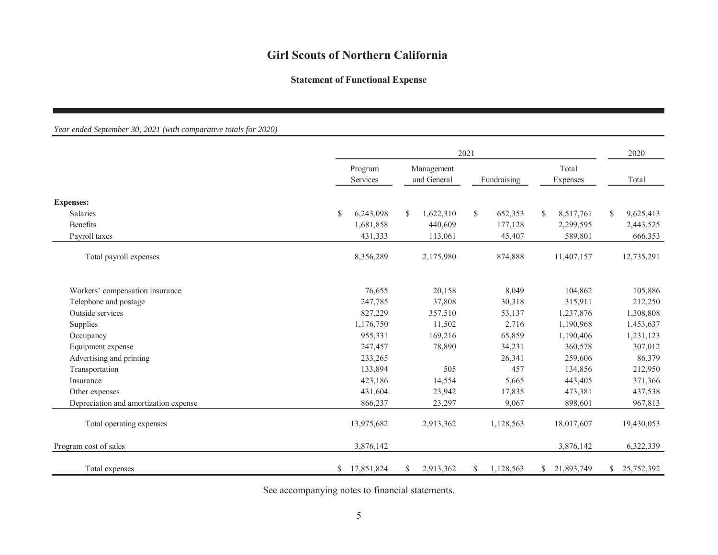# **Statement of Functional Expense**

*Year ended September 30, 2021 (with comparative totals for 2020)*

|                                       |                     | 2021                       |                         |                            |                  |  |
|---------------------------------------|---------------------|----------------------------|-------------------------|----------------------------|------------------|--|
|                                       | Program<br>Services | Management<br>and General  | Fundraising             | Total<br>Expenses          | Total            |  |
| <b>Expenses:</b>                      |                     |                            |                         |                            |                  |  |
| <b>Salaries</b>                       | \$<br>6,243,098     | <sup>\$</sup><br>1,622,310 | $\mathbb{S}$<br>652,353 | 8,517,761<br>\$            | 9,625,413<br>\$  |  |
| <b>Benefits</b>                       | 1,681,858           | 440,609                    | 177,128                 | 2,299,595                  | 2,443,525        |  |
| Payroll taxes                         | 431,333             | 113,061                    | 45,407                  | 589,801                    | 666,353          |  |
| Total payroll expenses                | 8,356,289           | 2,175,980                  | 874,888                 | 11,407,157                 | 12,735,291       |  |
| Workers' compensation insurance       | 76,655              | 20,158                     | 8,049                   | 104,862                    | 105,886          |  |
| Telephone and postage                 | 247,785             | 37,808                     | 30,318                  | 315,911                    | 212,250          |  |
| Outside services                      | 827,229             | 357,510                    | 53,137                  | 1,237,876                  | 1,308,808        |  |
| Supplies                              | 1,176,750           | 11,502                     | 2,716                   | 1,190,968                  | 1,453,637        |  |
| Occupancy                             | 955,331             | 169,216                    | 65,859                  | 1,190,406                  | 1,231,123        |  |
| Equipment expense                     | 247,457             | 78,890                     | 34,231                  | 360,578                    | 307,012          |  |
| Advertising and printing              | 233,265             |                            | 26,341                  | 259,606                    | 86,379           |  |
| Transportation                        | 133,894             | 505                        | 457                     | 134,856                    | 212,950          |  |
| Insurance                             | 423,186             | 14,554                     | 5,665                   | 443,405                    | 371,366          |  |
| Other expenses                        | 431,604             | 23,942                     | 17,835                  | 473,381                    | 437,538          |  |
| Depreciation and amortization expense | 866,237             | 23,297                     | 9,067                   | 898,601                    | 967,813          |  |
| Total operating expenses              | 13,975,682          | 2,913,362                  | 1,128,563               | 18,017,607                 | 19,430,053       |  |
| Program cost of sales                 | 3,876,142           |                            |                         | 3,876,142                  | 6,322,339        |  |
| Total expenses                        | 17,851,824<br>\$    | \$<br>2,913,362            | \$<br>1,128,563         | 21,893,749<br>$\mathbb{S}$ | 25,752,392<br>\$ |  |

See accompanying notes to financial statements.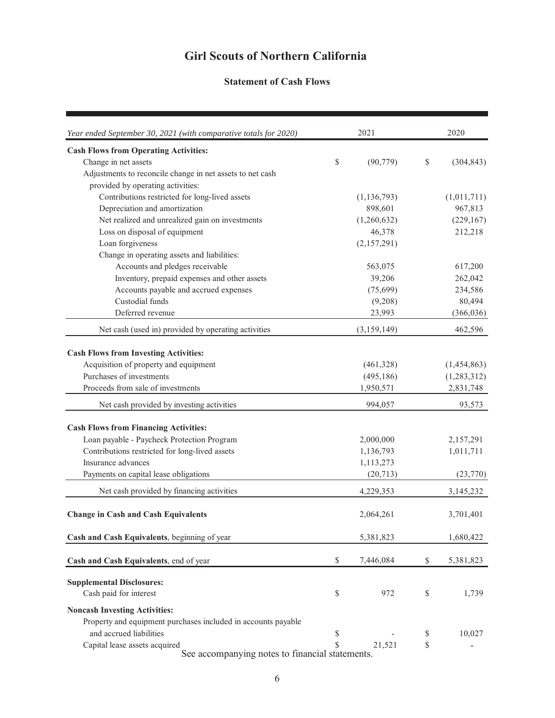# **Statement of Cash Flows**

| Year ended September 30, 2021 (with comparative totals for 2020) |             | 2021          |                                                                       | 2020        |
|------------------------------------------------------------------|-------------|---------------|-----------------------------------------------------------------------|-------------|
| <b>Cash Flows from Operating Activities:</b>                     |             |               |                                                                       |             |
| Change in net assets                                             | \$          | (90, 779)     | \$                                                                    | (304, 843)  |
| Adjustments to reconcile change in net assets to net cash        |             |               |                                                                       |             |
| provided by operating activities:                                |             |               |                                                                       |             |
| Contributions restricted for long-lived assets                   |             | (1, 136, 793) |                                                                       | (1,011,711) |
| Depreciation and amortization                                    |             | 898,601       |                                                                       | 967,813     |
| Net realized and unrealized gain on investments                  |             | (1,260,632)   |                                                                       | (229, 167)  |
| Loss on disposal of equipment                                    |             | 46,378        |                                                                       | 212,218     |
| Loan forgiveness                                                 |             | (2,157,291)   |                                                                       |             |
| Change in operating assets and liabilities:                      |             |               |                                                                       |             |
| Accounts and pledges receivable                                  |             | 563,075       |                                                                       | 617,200     |
| Inventory, prepaid expenses and other assets                     |             | 39,206        |                                                                       | 262,042     |
| Accounts payable and accrued expenses                            |             | (75, 699)     |                                                                       | 234,586     |
| Custodial funds                                                  |             | (9,208)       |                                                                       | 80,494      |
| Deferred revenue                                                 |             | 23,993        |                                                                       | (366, 036)  |
| Net cash (used in) provided by operating activities              |             | (3, 159, 149) |                                                                       | 462,596     |
| <b>Cash Flows from Investing Activities:</b>                     |             |               |                                                                       |             |
| Acquisition of property and equipment                            |             | (461,328)     |                                                                       | (1,454,863) |
| Purchases of investments                                         |             | (495, 186)    |                                                                       | (1,283,312) |
| Proceeds from sale of investments                                |             | 1,950,571     |                                                                       | 2,831,748   |
| Net cash provided by investing activities                        |             | 994,057       |                                                                       | 93,573      |
|                                                                  |             |               |                                                                       |             |
| <b>Cash Flows from Financing Activities:</b>                     |             |               |                                                                       |             |
| Loan payable - Paycheck Protection Program                       |             | 2,000,000     |                                                                       | 2,157,291   |
| Contributions restricted for long-lived assets                   |             | 1,136,793     |                                                                       | 1,011,711   |
| Insurance advances                                               |             | 1,113,273     |                                                                       |             |
| Payments on capital lease obligations                            |             | (20, 713)     |                                                                       | (23,770)    |
| Net cash provided by financing activities                        |             | 4,229,353     |                                                                       | 3,145,232   |
|                                                                  |             |               |                                                                       |             |
| <b>Change in Cash and Cash Equivalents</b>                       |             | 2,064,261     |                                                                       | 3,701,401   |
| Cash and Cash Equivalents, beginning of year                     |             | 5,381,823     |                                                                       | 1,680,422   |
| Cash and Cash Equivalents, end of year                           | \$          | 7,446,084     | $\mathbb{S}% _{t}\left( t\right) \equiv\mathbb{S}_{t}\left( t\right)$ | 5,381,823   |
|                                                                  |             |               |                                                                       |             |
| <b>Supplemental Disclosures:</b>                                 |             |               |                                                                       |             |
| Cash paid for interest                                           | \$          | 972           | \$                                                                    | 1,739       |
| <b>Noncash Investing Activities:</b>                             |             |               |                                                                       |             |
| Property and equipment purchases included in accounts payable    |             |               |                                                                       |             |
| and accrued liabilities                                          | \$          |               | \$                                                                    | 10,027      |
| Capital lease assets acquired                                    | $\mathbf S$ | 21,521        | \$                                                                    |             |
| See accompanying notes to financial statements.                  |             |               |                                                                       |             |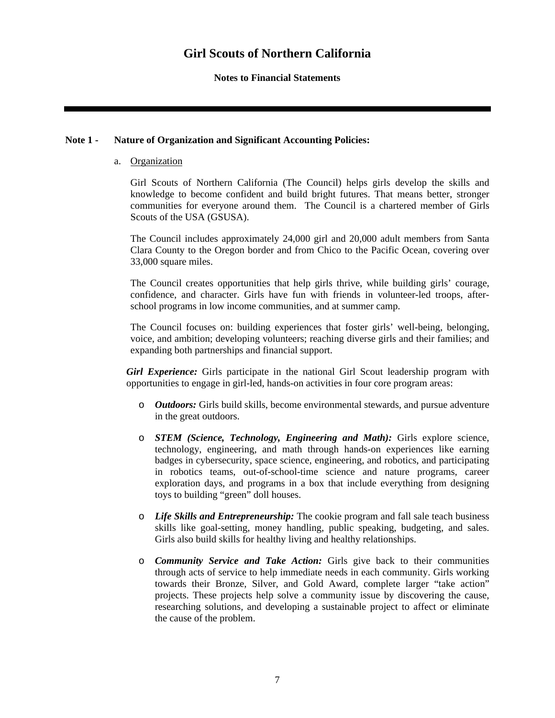# **Notes to Financial Statements**

# **Note 1 - Nature of Organization and Significant Accounting Policies:**

### a. Organization

Girl Scouts of Northern California (The Council) helps girls develop the skills and knowledge to become confident and build bright futures. That means better, stronger communities for everyone around them. The Council is a chartered member of Girls Scouts of the USA (GSUSA).

The Council includes approximately 24,000 girl and 20,000 adult members from Santa Clara County to the Oregon border and from Chico to the Pacific Ocean, covering over 33,000 square miles.

The Council creates opportunities that help girls thrive, while building girls' courage, confidence, and character. Girls have fun with friends in volunteer-led troops, afterschool programs in low income communities, and at summer camp.

The Council focuses on: building experiences that foster girls' well-being, belonging, voice, and ambition; developing volunteers; reaching diverse girls and their families; and expanding both partnerships and financial support.

*Girl Experience:* Girls participate in the national Girl Scout leadership program with opportunities to engage in girl-led, hands-on activities in four core program areas:

- o *Outdoors:* Girls build skills, become environmental stewards, and pursue adventure in the great outdoors.
- o *STEM (Science, Technology, Engineering and Math):* Girls explore science, technology, engineering, and math through hands-on experiences like earning badges in cybersecurity, space science, engineering, and robotics, and participating in robotics teams, out-of-school-time science and nature programs, career exploration days, and programs in a box that include everything from designing toys to building "green" doll houses.
- o *Life Skills and Entrepreneurship:* The cookie program and fall sale teach business skills like goal-setting, money handling, public speaking, budgeting, and sales. Girls also build skills for healthy living and healthy relationships.
- o *Community Service and Take Action:* Girls give back to their communities through acts of service to help immediate needs in each community. Girls working towards their Bronze, Silver, and Gold Award, complete larger "take action" projects. These projects help solve a community issue by discovering the cause, researching solutions, and developing a sustainable project to affect or eliminate the cause of the problem.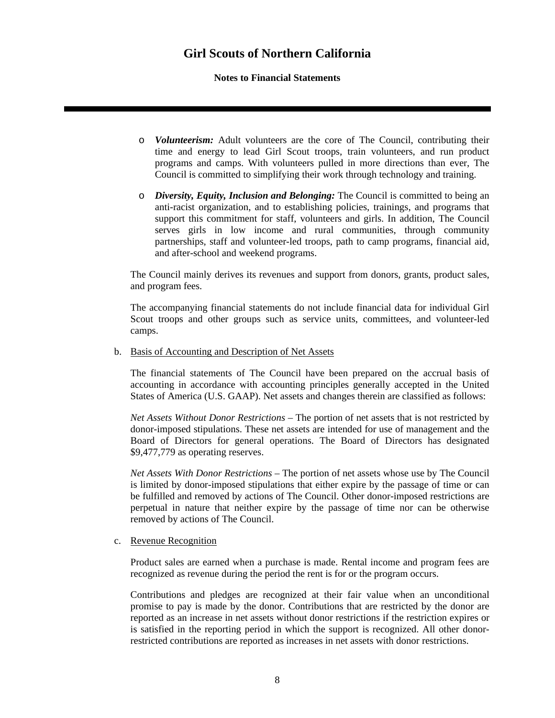# **Notes to Financial Statements**

- o *Volunteerism:* Adult volunteers are the core of The Council, contributing their time and energy to lead Girl Scout troops, train volunteers, and run product programs and camps. With volunteers pulled in more directions than ever, The Council is committed to simplifying their work through technology and training.
- o *Diversity, Equity, Inclusion and Belonging:* The Council is committed to being an anti-racist organization, and to establishing policies, trainings, and programs that support this commitment for staff, volunteers and girls. In addition, The Council serves girls in low income and rural communities, through community partnerships, staff and volunteer-led troops, path to camp programs, financial aid, and after-school and weekend programs.

The Council mainly derives its revenues and support from donors, grants, product sales, and program fees.

The accompanying financial statements do not include financial data for individual Girl Scout troops and other groups such as service units, committees, and volunteer-led camps.

b. Basis of Accounting and Description of Net Assets

The financial statements of The Council have been prepared on the accrual basis of accounting in accordance with accounting principles generally accepted in the United States of America (U.S. GAAP). Net assets and changes therein are classified as follows:

*Net Assets Without Donor Restrictions* – The portion of net assets that is not restricted by donor-imposed stipulations. These net assets are intended for use of management and the Board of Directors for general operations. The Board of Directors has designated \$9,477,779 as operating reserves.

*Net Assets With Donor Restrictions –* The portion of net assets whose use by The Council is limited by donor-imposed stipulations that either expire by the passage of time or can be fulfilled and removed by actions of The Council. Other donor-imposed restrictions are perpetual in nature that neither expire by the passage of time nor can be otherwise removed by actions of The Council.

### c. Revenue Recognition

Product sales are earned when a purchase is made. Rental income and program fees are recognized as revenue during the period the rent is for or the program occurs.

Contributions and pledges are recognized at their fair value when an unconditional promise to pay is made by the donor. Contributions that are restricted by the donor are reported as an increase in net assets without donor restrictions if the restriction expires or is satisfied in the reporting period in which the support is recognized. All other donorrestricted contributions are reported as increases in net assets with donor restrictions.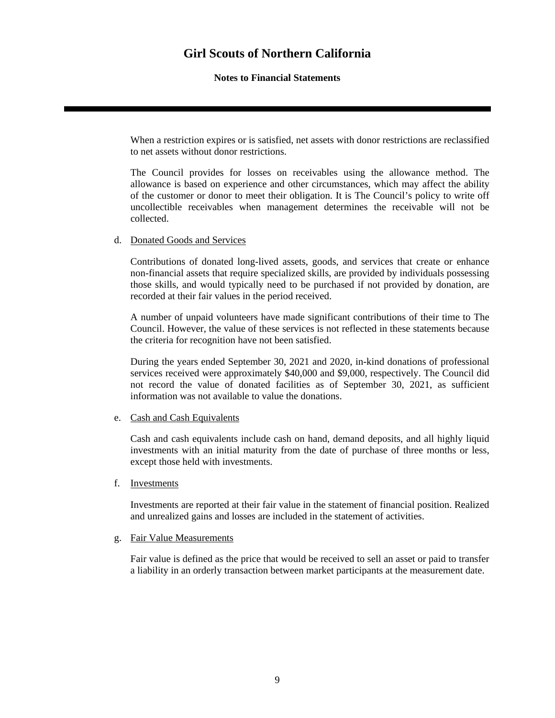# **Notes to Financial Statements**

When a restriction expires or is satisfied, net assets with donor restrictions are reclassified to net assets without donor restrictions.

The Council provides for losses on receivables using the allowance method. The allowance is based on experience and other circumstances, which may affect the ability of the customer or donor to meet their obligation. It is The Council's policy to write off uncollectible receivables when management determines the receivable will not be collected.

### d. Donated Goods and Services

Contributions of donated long-lived assets, goods, and services that create or enhance non-financial assets that require specialized skills, are provided by individuals possessing those skills, and would typically need to be purchased if not provided by donation, are recorded at their fair values in the period received.

A number of unpaid volunteers have made significant contributions of their time to The Council. However, the value of these services is not reflected in these statements because the criteria for recognition have not been satisfied.

During the years ended September 30, 2021 and 2020, in-kind donations of professional services received were approximately \$40,000 and \$9,000, respectively. The Council did not record the value of donated facilities as of September 30, 2021, as sufficient information was not available to value the donations.

### e. Cash and Cash Equivalents

Cash and cash equivalents include cash on hand, demand deposits, and all highly liquid investments with an initial maturity from the date of purchase of three months or less, except those held with investments.

# f. Investments

Investments are reported at their fair value in the statement of financial position. Realized and unrealized gains and losses are included in the statement of activities.

### g. Fair Value Measurements

Fair value is defined as the price that would be received to sell an asset or paid to transfer a liability in an orderly transaction between market participants at the measurement date.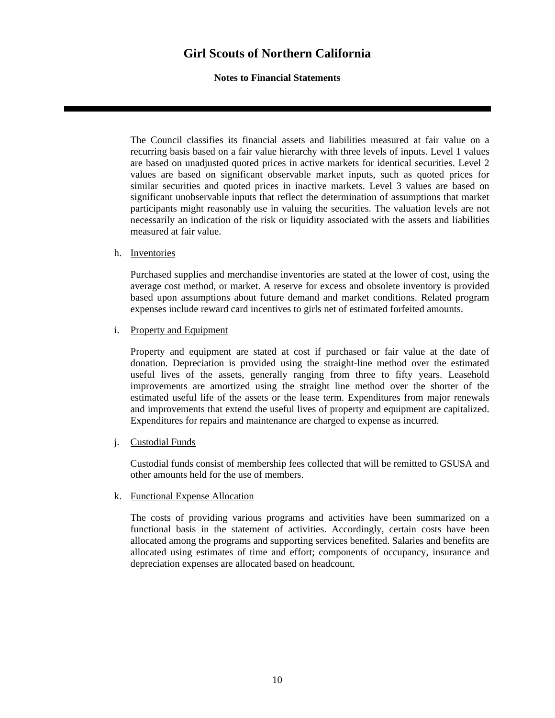# **Notes to Financial Statements**

The Council classifies its financial assets and liabilities measured at fair value on a recurring basis based on a fair value hierarchy with three levels of inputs. Level 1 values are based on unadjusted quoted prices in active markets for identical securities. Level 2 values are based on significant observable market inputs, such as quoted prices for similar securities and quoted prices in inactive markets. Level 3 values are based on significant unobservable inputs that reflect the determination of assumptions that market participants might reasonably use in valuing the securities. The valuation levels are not necessarily an indication of the risk or liquidity associated with the assets and liabilities measured at fair value.

# h. Inventories

Purchased supplies and merchandise inventories are stated at the lower of cost, using the average cost method, or market. A reserve for excess and obsolete inventory is provided based upon assumptions about future demand and market conditions. Related program expenses include reward card incentives to girls net of estimated forfeited amounts.

# i. Property and Equipment

Property and equipment are stated at cost if purchased or fair value at the date of donation. Depreciation is provided using the straight-line method over the estimated useful lives of the assets, generally ranging from three to fifty years. Leasehold improvements are amortized using the straight line method over the shorter of the estimated useful life of the assets or the lease term. Expenditures from major renewals and improvements that extend the useful lives of property and equipment are capitalized. Expenditures for repairs and maintenance are charged to expense as incurred.

# j. Custodial Funds

Custodial funds consist of membership fees collected that will be remitted to GSUSA and other amounts held for the use of members.

### k. Functional Expense Allocation

The costs of providing various programs and activities have been summarized on a functional basis in the statement of activities. Accordingly, certain costs have been allocated among the programs and supporting services benefited. Salaries and benefits are allocated using estimates of time and effort; components of occupancy, insurance and depreciation expenses are allocated based on headcount.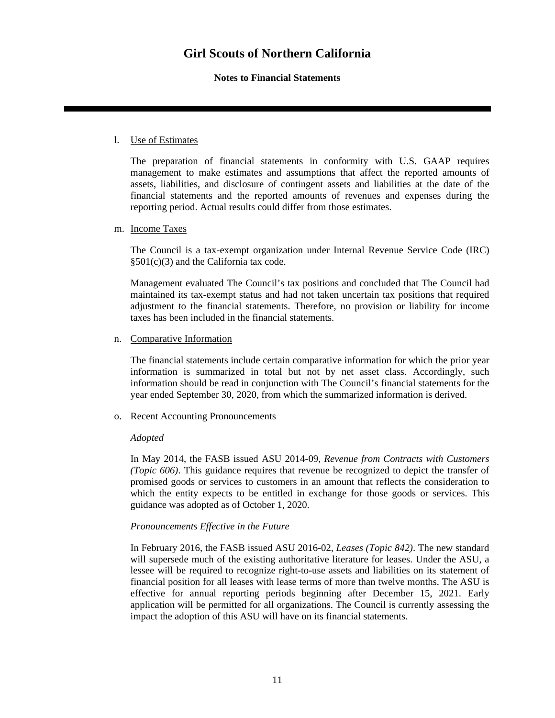# **Notes to Financial Statements**

# l. Use of Estimates

The preparation of financial statements in conformity with U.S. GAAP requires management to make estimates and assumptions that affect the reported amounts of assets, liabilities, and disclosure of contingent assets and liabilities at the date of the financial statements and the reported amounts of revenues and expenses during the reporting period. Actual results could differ from those estimates.

# m. Income Taxes

The Council is a tax-exempt organization under Internal Revenue Service Code (IRC) §501(c)(3) and the California tax code.

Management evaluated The Council's tax positions and concluded that The Council had maintained its tax-exempt status and had not taken uncertain tax positions that required adjustment to the financial statements. Therefore, no provision or liability for income taxes has been included in the financial statements.

# n. Comparative Information

The financial statements include certain comparative information for which the prior year information is summarized in total but not by net asset class. Accordingly, such information should be read in conjunction with The Council's financial statements for the year ended September 30, 2020, from which the summarized information is derived.

o. Recent Accounting Pronouncements

### *Adopted*

In May 2014, the FASB issued ASU 2014-09, *Revenue from Contracts with Customers (Topic 606)*. This guidance requires that revenue be recognized to depict the transfer of promised goods or services to customers in an amount that reflects the consideration to which the entity expects to be entitled in exchange for those goods or services. This guidance was adopted as of October 1, 2020.

# *Pronouncements Effective in the Future*

In February 2016, the FASB issued ASU 2016-02*, Leases (Topic 842)*. The new standard will supersede much of the existing authoritative literature for leases. Under the ASU, a lessee will be required to recognize right-to-use assets and liabilities on its statement of financial position for all leases with lease terms of more than twelve months. The ASU is effective for annual reporting periods beginning after December 15, 2021. Early application will be permitted for all organizations. The Council is currently assessing the impact the adoption of this ASU will have on its financial statements.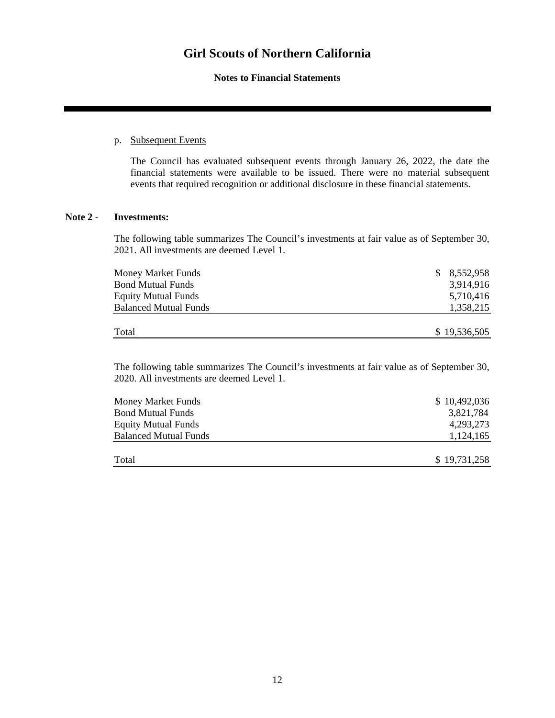# **Notes to Financial Statements**

# p. Subsequent Events

The Council has evaluated subsequent events through January 26, 2022, the date the financial statements were available to be issued. There were no material subsequent events that required recognition or additional disclosure in these financial statements.

# **Note 2 - Investments:**

The following table summarizes The Council's investments at fair value as of September 30, 2021. All investments are deemed Level 1.

| Money Market Funds           | 8,552,958<br>S. |
|------------------------------|-----------------|
| <b>Bond Mutual Funds</b>     | 3,914,916       |
| <b>Equity Mutual Funds</b>   | 5,710,416       |
| <b>Balanced Mutual Funds</b> | 1,358,215       |
| Total                        | \$19,536,505    |

The following table summarizes The Council's investments at fair value as of September 30, 2020. All investments are deemed Level 1.

| Money Market Funds           | \$10,492,036 |
|------------------------------|--------------|
| <b>Bond Mutual Funds</b>     | 3,821,784    |
| <b>Equity Mutual Funds</b>   | 4,293,273    |
| <b>Balanced Mutual Funds</b> | 1,124,165    |
| Total                        | \$19,731,258 |
|                              |              |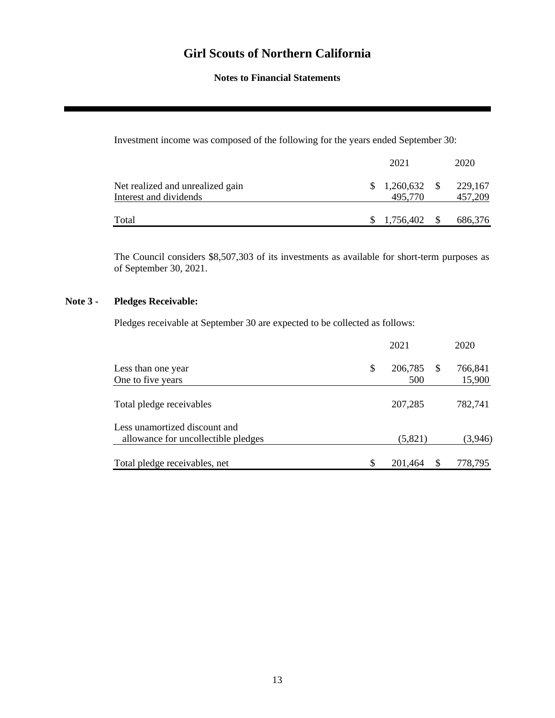**Notes to Financial Statements**

Investment income was composed of the following for the years ended September 30:

|                                                            | 2021                        | 2020               |
|------------------------------------------------------------|-----------------------------|--------------------|
| Net realized and unrealized gain<br>Interest and dividends | $$1,260,632$ \\$<br>495,770 | 229,167<br>457,209 |
| Total                                                      |                             | 686,376            |

The Council considers \$8,507,303 of its investments as available for short-term purposes as of September 30, 2021.

# **Note 3 - Pledges Receivable:**

Pledges receivable at September 30 are expected to be collected as follows:

|                                     | 2021                           | 2020    |
|-------------------------------------|--------------------------------|---------|
| Less than one year                  | \$<br>206,785<br><sup>\$</sup> | 766,841 |
| One to five years                   | 500                            | 15,900  |
| Total pledge receivables            | 207,285                        | 782,741 |
| Less unamortized discount and       |                                |         |
| allowance for uncollectible pledges | (5,821)                        | (3,946) |
| Total pledge receivables, net       | \$<br>201,464                  | 778,795 |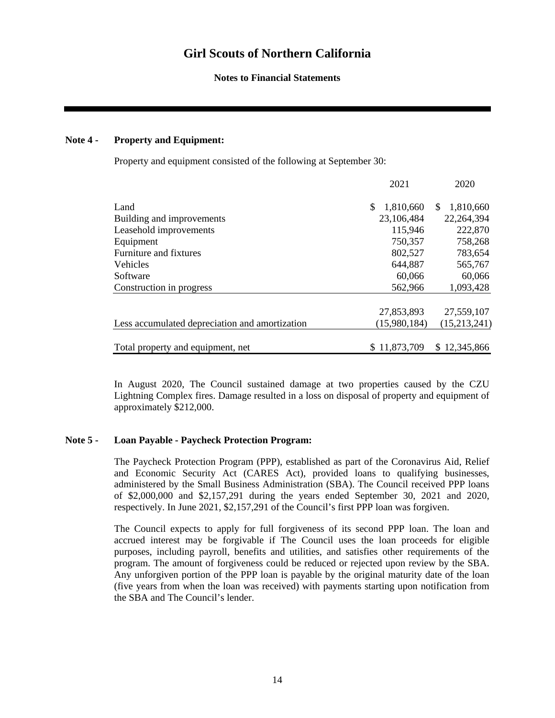**Notes to Financial Statements**

# **Note 4 - Property and Equipment:**

Property and equipment consisted of the following at September 30:

|                                                | 2021             | 2020             |
|------------------------------------------------|------------------|------------------|
| Land                                           | 1,810,660<br>\$. | 1,810,660<br>\$. |
| Building and improvements                      | 23,106,484       | 22,264,394       |
| Leasehold improvements                         | 115,946          | 222,870          |
| Equipment                                      | 750,357          | 758,268          |
| Furniture and fixtures                         | 802,527          | 783,654          |
| <b>Vehicles</b>                                | 644,887          | 565,767          |
| Software                                       | 60,066           | 60,066           |
| Construction in progress                       | 562,966          | 1,093,428        |
|                                                | 27,853,893       | 27,559,107       |
| Less accumulated depreciation and amortization | (15,980,184)     | (15,213,241)     |
| Total property and equipment, net              | \$11,873,709     | \$12,345,866     |

In August 2020, The Council sustained damage at two properties caused by the CZU Lightning Complex fires. Damage resulted in a loss on disposal of property and equipment of approximately \$212,000.

### **Note 5 - Loan Payable - Paycheck Protection Program:**

The Paycheck Protection Program (PPP), established as part of the Coronavirus Aid, Relief and Economic Security Act (CARES Act), provided loans to qualifying businesses, administered by the Small Business Administration (SBA). The Council received PPP loans of \$2,000,000 and \$2,157,291 during the years ended September 30, 2021 and 2020, respectively. In June 2021, \$2,157,291 of the Council's first PPP loan was forgiven.

The Council expects to apply for full forgiveness of its second PPP loan. The loan and accrued interest may be forgivable if The Council uses the loan proceeds for eligible purposes, including payroll, benefits and utilities, and satisfies other requirements of the program. The amount of forgiveness could be reduced or rejected upon review by the SBA. Any unforgiven portion of the PPP loan is payable by the original maturity date of the loan (five years from when the loan was received) with payments starting upon notification from the SBA and The Council's lender.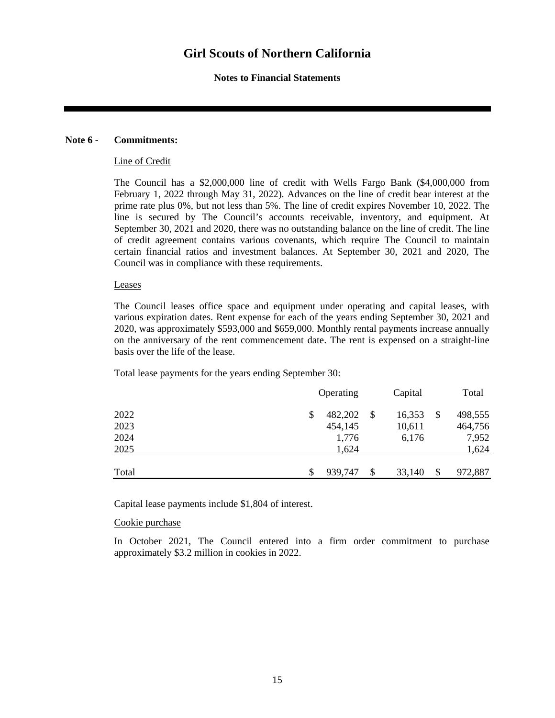# **Notes to Financial Statements**

# **Note 6 - Commitments:**

#### Line of Credit

The Council has a \$2,000,000 line of credit with Wells Fargo Bank (\$4,000,000 from February 1, 2022 through May 31, 2022). Advances on the line of credit bear interest at the prime rate plus 0%, but not less than 5%. The line of credit expires November 10, 2022. The line is secured by The Council's accounts receivable, inventory, and equipment. At September 30, 2021 and 2020, there was no outstanding balance on the line of credit. The line of credit agreement contains various covenants, which require The Council to maintain certain financial ratios and investment balances. At September 30, 2021 and 2020, The Council was in compliance with these requirements.

#### Leases

The Council leases office space and equipment under operating and capital leases, with various expiration dates. Rent expense for each of the years ending September 30, 2021 and 2020, was approximately \$593,000 and \$659,000. Monthly rental payments increase annually on the anniversary of the rent commencement date. The rent is expensed on a straight-line basis over the life of the lease.

Total lease payments for the years ending September 30:

|       | Operating |         |    | Capital | Total         |
|-------|-----------|---------|----|---------|---------------|
| 2022  |           | 482,202 | S  | 16,353  | \$<br>498,555 |
| 2023  |           | 454,145 |    | 10,611  | 464,756       |
| 2024  |           | 1,776   |    | 6,176   | 7,952         |
| 2025  |           | 1,624   |    |         | 1,624         |
|       |           |         |    |         |               |
| Total |           | 939,747 | \$ | 33,140  | \$<br>972,887 |

Capital lease payments include \$1,804 of interest.

#### Cookie purchase

In October 2021, The Council entered into a firm order commitment to purchase approximately \$3.2 million in cookies in 2022.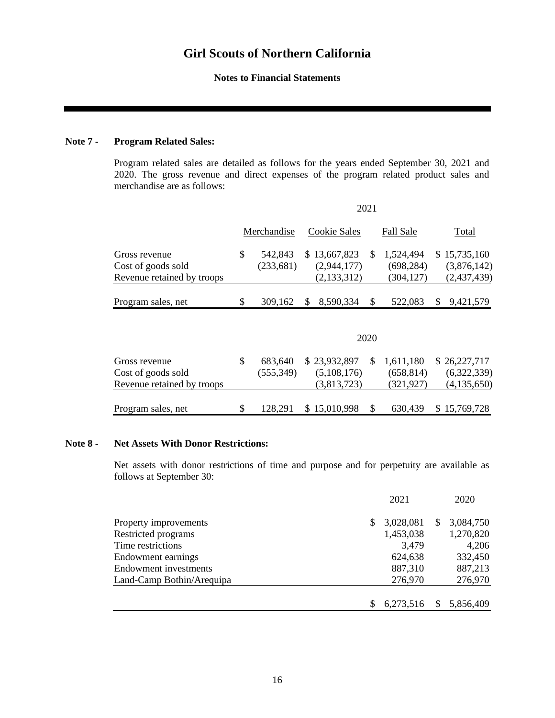# **Notes to Financial Statements**

# **Note 7 - Program Related Sales:**

Program related sales are detailed as follows for the years ended September 30, 2021 and 2020. The gross revenue and direct expenses of the program related product sales and merchandise are as follows:

|                                                                   | 2021 |                       |    |                                              |      |                                       |   |                                              |
|-------------------------------------------------------------------|------|-----------------------|----|----------------------------------------------|------|---------------------------------------|---|----------------------------------------------|
|                                                                   |      | Merchandise           |    | Cookie Sales                                 |      | <b>Fall Sale</b>                      |   | Total                                        |
| Gross revenue<br>Cost of goods sold<br>Revenue retained by troops | \$   | 542,843<br>(233, 681) |    | \$13,667,823<br>(2,944,177)<br>(2, 133, 312) | \$.  | 1,524,494<br>(698, 284)<br>(304, 127) |   | \$15,735,160<br>(3,876,142)<br>(2,437,439)   |
| Program sales, net                                                | \$   | 309,162               | \$ | 8,590,334                                    | S    | 522,083                               | S | 9,421,579                                    |
|                                                                   |      |                       |    |                                              | 2020 |                                       |   |                                              |
| Gross revenue<br>Cost of goods sold<br>Revenue retained by troops | \$   | 683,640<br>(555, 349) |    | \$23,932,897<br>(5,108,176)<br>(3,813,723)   | \$.  | 1,611,180<br>(658, 814)<br>(321, 927) |   | \$26,227,717<br>(6,322,339)<br>(4, 135, 650) |
| Program sales, net                                                | \$   | 128,291               |    | \$15,010,998                                 | \$.  | 630,439                               |   | \$15,769,728                                 |

### **Note 8 - Net Assets With Donor Restrictions:**

Net assets with donor restrictions of time and purpose and for perpetuity are available as follows at September 30:

|                           |   | 2021      |    | 2020      |
|---------------------------|---|-----------|----|-----------|
| Property improvements     | S | 3,028,081 | S. | 3,084,750 |
| Restricted programs       |   | 1,453,038 |    | 1,270,820 |
| Time restrictions         |   | 3,479     |    | 4,206     |
| Endowment earnings        |   | 624,638   |    | 332,450   |
| Endowment investments     |   | 887,310   |    | 887,213   |
| Land-Camp Bothin/Arequipa |   | 276,970   |    | 276,970   |
|                           |   |           |    |           |
|                           |   | 6,273,516 |    | 5,856,409 |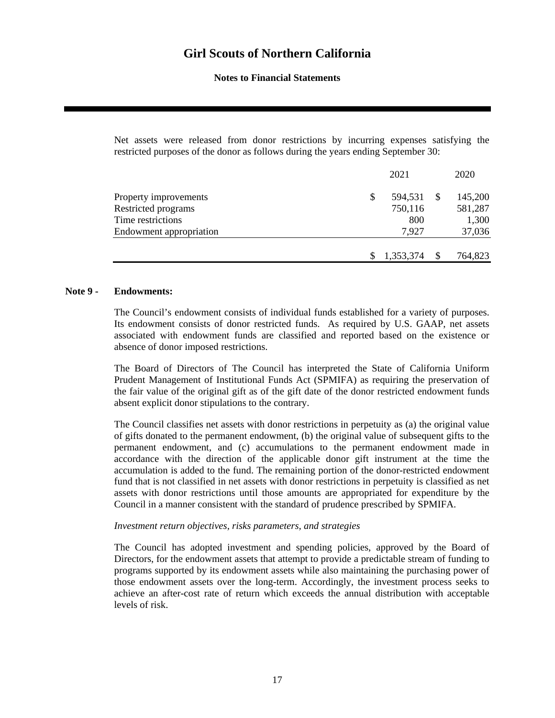**Notes to Financial Statements**

Net assets were released from donor restrictions by incurring expenses satisfying the restricted purposes of the donor as follows during the years ending September 30:

|                         |   | 2021      |    | 2020    |
|-------------------------|---|-----------|----|---------|
| Property improvements   | S | 594,531   | -S | 145,200 |
| Restricted programs     |   | 750,116   |    | 581,287 |
| Time restrictions       |   | 800       |    | 1,300   |
| Endowment appropriation |   | 7,927     |    | 37,036  |
|                         |   |           |    |         |
|                         |   | 1,353,374 |    | 764,823 |

### **Note 9 - Endowments:**

The Council's endowment consists of individual funds established for a variety of purposes. Its endowment consists of donor restricted funds. As required by U.S. GAAP, net assets associated with endowment funds are classified and reported based on the existence or absence of donor imposed restrictions.

The Board of Directors of The Council has interpreted the State of California Uniform Prudent Management of Institutional Funds Act (SPMIFA) as requiring the preservation of the fair value of the original gift as of the gift date of the donor restricted endowment funds absent explicit donor stipulations to the contrary.

The Council classifies net assets with donor restrictions in perpetuity as (a) the original value of gifts donated to the permanent endowment, (b) the original value of subsequent gifts to the permanent endowment, and (c) accumulations to the permanent endowment made in accordance with the direction of the applicable donor gift instrument at the time the accumulation is added to the fund. The remaining portion of the donor-restricted endowment fund that is not classified in net assets with donor restrictions in perpetuity is classified as net assets with donor restrictions until those amounts are appropriated for expenditure by the Council in a manner consistent with the standard of prudence prescribed by SPMIFA.

### *Investment return objectives, risks parameters, and strategies*

The Council has adopted investment and spending policies, approved by the Board of Directors, for the endowment assets that attempt to provide a predictable stream of funding to programs supported by its endowment assets while also maintaining the purchasing power of those endowment assets over the long-term. Accordingly, the investment process seeks to achieve an after-cost rate of return which exceeds the annual distribution with acceptable levels of risk.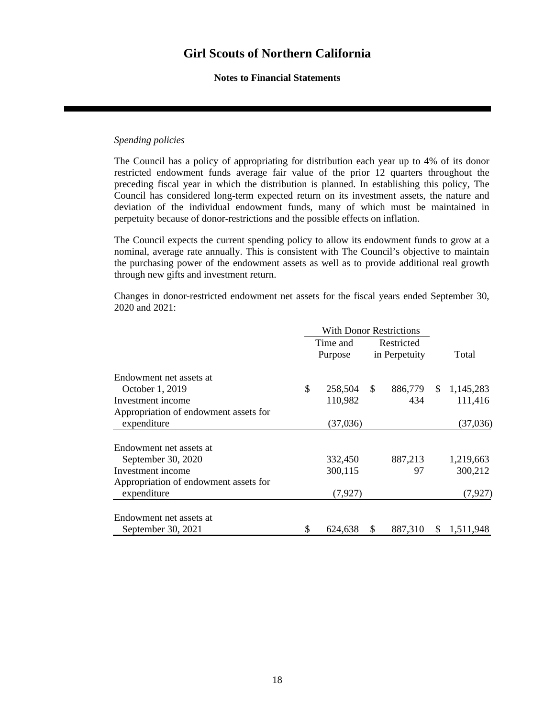# **Notes to Financial Statements**

# *Spending policies*

The Council has a policy of appropriating for distribution each year up to 4% of its donor restricted endowment funds average fair value of the prior 12 quarters throughout the preceding fiscal year in which the distribution is planned. In establishing this policy, The Council has considered long-term expected return on its investment assets, the nature and deviation of the individual endowment funds, many of which must be maintained in perpetuity because of donor-restrictions and the possible effects on inflation.

The Council expects the current spending policy to allow its endowment funds to grow at a nominal, average rate annually. This is consistent with The Council's objective to maintain the purchasing power of the endowment assets as well as to provide additional real growth through new gifts and investment return.

Changes in donor-restricted endowment net assets for the fiscal years ended September 30, 2020 and 2021:

|                                       |    | <b>With Donor Restrictions</b> |               |               |    |           |
|---------------------------------------|----|--------------------------------|---------------|---------------|----|-----------|
|                                       |    | Time and                       |               | Restricted    |    |           |
|                                       |    | Purpose                        |               | in Perpetuity |    | Total     |
| Endowment net assets at               |    |                                |               |               |    |           |
| October 1, 2019                       | \$ | 258,504                        | <sup>\$</sup> | 886,779       | \$ | 1,145,283 |
| Investment income                     |    | 110,982                        |               | 434           |    | 111,416   |
| Appropriation of endowment assets for |    |                                |               |               |    |           |
| expenditure                           |    | (37,036)                       |               |               |    | (37,036)  |
|                                       |    |                                |               |               |    |           |
| Endowment net assets at               |    |                                |               |               |    |           |
| September 30, 2020                    |    | 332,450                        |               | 887,213       |    | 1,219,663 |
| Investment income                     |    | 300,115                        |               | 97            |    | 300,212   |
| Appropriation of endowment assets for |    |                                |               |               |    |           |
| expenditure                           |    | (7, 927)                       |               |               |    | (7, 927)  |
|                                       |    |                                |               |               |    |           |
| Endowment net assets at               |    |                                |               |               |    |           |
| September 30, 2021                    | \$ | 624,638                        | S             | 887,310       | \$ | 1,511,948 |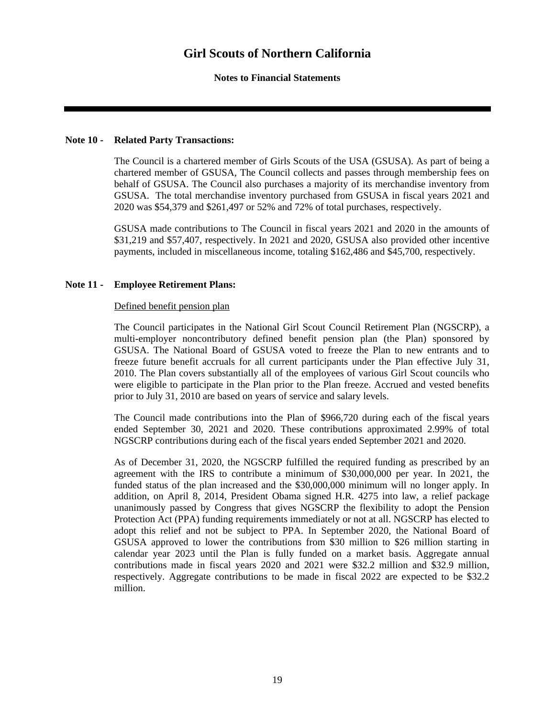# **Notes to Financial Statements**

# **Note 10 - Related Party Transactions:**

The Council is a chartered member of Girls Scouts of the USA (GSUSA). As part of being a chartered member of GSUSA, The Council collects and passes through membership fees on behalf of GSUSA. The Council also purchases a majority of its merchandise inventory from GSUSA. The total merchandise inventory purchased from GSUSA in fiscal years 2021 and 2020 was \$54,379 and \$261,497 or 52% and 72% of total purchases, respectively.

GSUSA made contributions to The Council in fiscal years 2021 and 2020 in the amounts of \$31,219 and \$57,407, respectively. In 2021 and 2020, GSUSA also provided other incentive payments, included in miscellaneous income, totaling \$162,486 and \$45,700, respectively.

# **Note 11 - Employee Retirement Plans:**

# Defined benefit pension plan

The Council participates in the National Girl Scout Council Retirement Plan (NGSCRP), a multi-employer noncontributory defined benefit pension plan (the Plan) sponsored by GSUSA. The National Board of GSUSA voted to freeze the Plan to new entrants and to freeze future benefit accruals for all current participants under the Plan effective July 31, 2010. The Plan covers substantially all of the employees of various Girl Scout councils who were eligible to participate in the Plan prior to the Plan freeze. Accrued and vested benefits prior to July 31, 2010 are based on years of service and salary levels.

The Council made contributions into the Plan of \$966,720 during each of the fiscal years ended September 30, 2021 and 2020. These contributions approximated 2.99% of total NGSCRP contributions during each of the fiscal years ended September 2021 and 2020.

As of December 31, 2020, the NGSCRP fulfilled the required funding as prescribed by an agreement with the IRS to contribute a minimum of \$30,000,000 per year. In 2021, the funded status of the plan increased and the \$30,000,000 minimum will no longer apply. In addition, on April 8, 2014, President Obama signed H.R. 4275 into law, a relief package unanimously passed by Congress that gives NGSCRP the flexibility to adopt the Pension Protection Act (PPA) funding requirements immediately or not at all. NGSCRP has elected to adopt this relief and not be subject to PPA. In September 2020, the National Board of GSUSA approved to lower the contributions from \$30 million to \$26 million starting in calendar year 2023 until the Plan is fully funded on a market basis. Aggregate annual contributions made in fiscal years 2020 and 2021 were \$32.2 million and \$32.9 million, respectively. Aggregate contributions to be made in fiscal 2022 are expected to be \$32.2 million.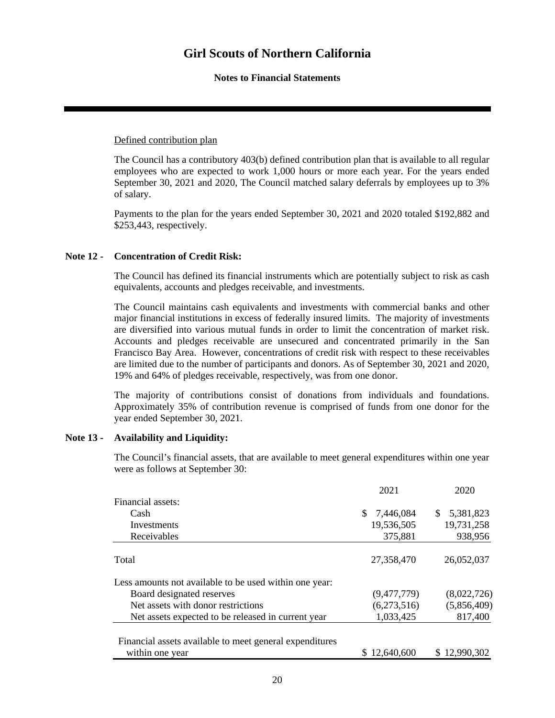**Notes to Financial Statements**

# Defined contribution plan

The Council has a contributory 403(b) defined contribution plan that is available to all regular employees who are expected to work 1,000 hours or more each year. For the years ended September 30, 2021 and 2020, The Council matched salary deferrals by employees up to 3% of salary.

Payments to the plan for the years ended September 30, 2021 and 2020 totaled \$192,882 and \$253,443, respectively.

# **Note 12 - Concentration of Credit Risk:**

The Council has defined its financial instruments which are potentially subject to risk as cash equivalents, accounts and pledges receivable, and investments.

The Council maintains cash equivalents and investments with commercial banks and other major financial institutions in excess of federally insured limits. The majority of investments are diversified into various mutual funds in order to limit the concentration of market risk. Accounts and pledges receivable are unsecured and concentrated primarily in the San Francisco Bay Area. However, concentrations of credit risk with respect to these receivables are limited due to the number of participants and donors. As of September 30, 2021 and 2020, 19% and 64% of pledges receivable, respectively, was from one donor.

The majority of contributions consist of donations from individuals and foundations. Approximately 35% of contribution revenue is comprised of funds from one donor for the year ended September 30, 2021.

# **Note 13 - Availability and Liquidity:**

The Council's financial assets, that are available to meet general expenditures within one year were as follows at September 30:

|                                                         | 2021           | 2020            |
|---------------------------------------------------------|----------------|-----------------|
| Financial assets:                                       |                |                 |
| Cash                                                    | 7,446,084<br>S | 5,381,823<br>S. |
| Investments                                             | 19,536,505     | 19,731,258      |
| Receivables                                             | 375,881        | 938,956         |
| Total                                                   | 27,358,470     | 26,052,037      |
| Less amounts not available to be used within one year:  |                |                 |
| Board designated reserves                               | (9,477,779)    | (8,022,726)     |
| Net assets with donor restrictions                      | (6,273,516)    | (5,856,409)     |
| Net assets expected to be released in current year      | 1,033,425      | 817,400         |
| Financial assets available to meet general expenditures |                |                 |
| within one year                                         | 12,640,600     | \$12,990,302    |